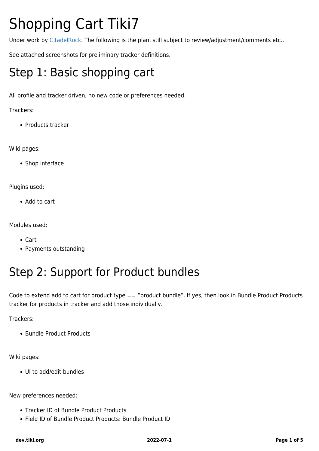# Shopping Cart Tiki7

Under work by [CitadelRock](http://citadelrock.com). The following is the plan, still subject to review/adjustment/comments etc...

See attached screenshots for preliminary tracker definitions.

## Step 1: Basic shopping cart

All profile and tracker driven, no new code or preferences needed.

Trackers:

• Products tracker

Wiki pages:

• Shop interface

Plugins used:

• Add to cart

Modules used:

- Cart
- Payments outstanding

### Step 2: Support for Product bundles

Code to extend add to cart for product type == "product bundle". If yes, then look in Bundle Product Products tracker for products in tracker and add those individually.

Trackers:

• Bundle Product Products

Wiki pages:

UI to add/edit bundles

New preferences needed:

- Tracker ID of Bundle Product Products
- Field ID of Bundle Product Products: Bundle Product ID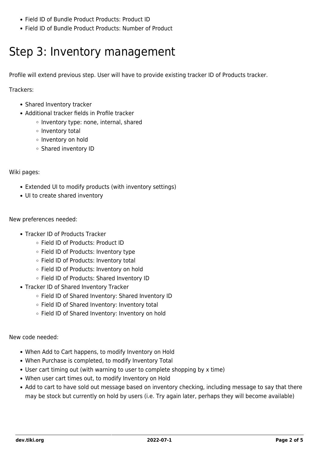- Field ID of Bundle Product Products: Product ID
- Field ID of Bundle Product Products: Number of Product

## Step 3: Inventory management

Profile will extend previous step. User will have to provide existing tracker ID of Products tracker.

Trackers:

- Shared Inventory tracker
- Additional tracker fields in Profile tracker
	- o Inventory type: none, internal, shared
	- o Inventory total
	- o Inventory on hold
	- Shared inventory ID

Wiki pages:

- Extended UI to modify products (with inventory settings)
- UI to create shared inventory

New preferences needed:

- Tracker ID of Products Tracker
	- Field ID of Products: Product ID
	- Field ID of Products: Inventory type
	- o Field ID of Products: Inventory total
	- Field ID of Products: Inventory on hold
	- o Field ID of Products: Shared Inventory ID
- Tracker ID of Shared Inventory Tracker
	- Field ID of Shared Inventory: Shared Inventory ID
	- Field ID of Shared Inventory: Inventory total
	- Field ID of Shared Inventory: Inventory on hold

New code needed:

- When Add to Cart happens, to modify Inventory on Hold
- When Purchase is completed, to modify Inventory Total
- User cart timing out (with warning to user to complete shopping by x time)
- When user cart times out, to modify Inventory on Hold
- Add to cart to have sold out message based on inventory checking, including message to say that there may be stock but currently on hold by users (i.e. Try again later, perhaps they will become available)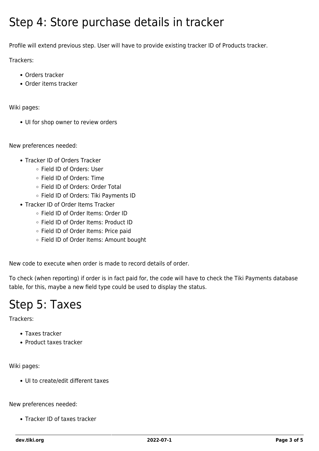#### Step 4: Store purchase details in tracker

Profile will extend previous step. User will have to provide existing tracker ID of Products tracker.

Trackers:

- Orders tracker
- Order items tracker

Wiki pages:

• UI for shop owner to review orders

New preferences needed:

- Tracker ID of Orders Tracker
	- Field ID of Orders: User
	- Field ID of Orders: Time
	- Field ID of Orders: Order Total
	- Field ID of Orders: Tiki Payments ID
- Tracker ID of Order Items Tracker
	- Field ID of Order Items: Order ID
	- Field ID of Order Items: Product ID
	- Field ID of Order Items: Price paid
	- Field ID of Order Items: Amount bought

New code to execute when order is made to record details of order.

To check (when reporting) if order is in fact paid for, the code will have to check the Tiki Payments database table, for this, maybe a new field type could be used to display the status.

### Step 5: Taxes

Trackers:

- Taxes tracker
- Product taxes tracker

Wiki pages:

UI to create/edit different taxes

New preferences needed:

• Tracker ID of taxes tracker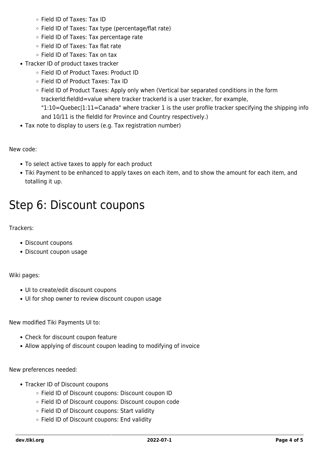- Field ID of Taxes: Tax ID
- $\circ$  Field ID of Taxes: Tax type (percentage/flat rate)
- Field ID of Taxes: Tax percentage rate
- Field ID of Taxes: Tax flat rate
- Field ID of Taxes: Tax on tax
- Tracker ID of product taxes tracker
	- Field ID of Product Taxes: Product ID
	- Field ID of Product Taxes: Tax ID
	- Field ID of Product Taxes: Apply only when (Vertical bar separated conditions in the form trackerId:fieldId=value where tracker trackerId is a user tracker, for example, "1:10=Quebec|1:11=Canada" where tracker 1 is the user profile tracker specifying the shipping info and 10/11 is the fieldId for Province and Country respectively.)
- Tax note to display to users (e.g. Tax registration number)

New code:

- To select active taxes to apply for each product
- Tiki Payment to be enhanced to apply taxes on each item, and to show the amount for each item, and totalling it up.

#### Step 6: Discount coupons

Trackers:

- Discount coupons
- Discount coupon usage

#### Wiki pages:

- UI to create/edit discount coupons
- UI for shop owner to review discount coupon usage

New modified Tiki Payments UI to:

- Check for discount coupon feature
- Allow applying of discount coupon leading to modifying of invoice

New preferences needed:

- Tracker ID of Discount coupons
	- Field ID of Discount coupons: Discount coupon ID
	- Field ID of Discount coupons: Discount coupon code
	- Field ID of Discount coupons: Start validity
	- o Field ID of Discount coupons: End validity